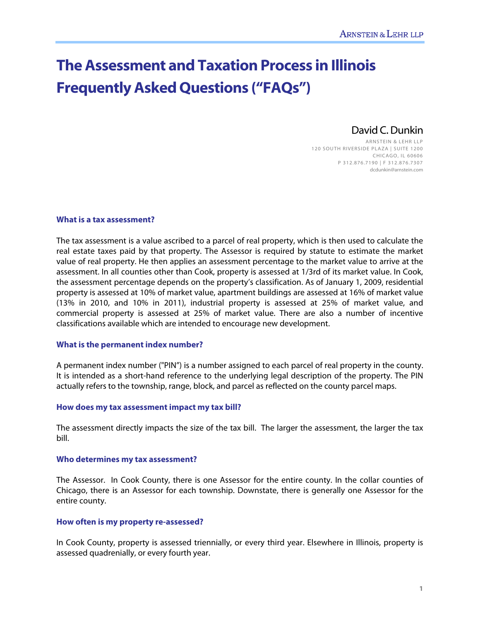# **The Assessment and Taxation Process in Illinois Frequently Asked Questions ("FAQs")**

# David C. Dunkin

ARNSTEIN & LEHR LLP 120 SOUTH RIVERSIDE PLAZA | SUITE 1200 CHICAGO, IL 60606 P 312.876.7190 | F 312.876.7307 dcdunkin@arnstein.com

# **What is a tax assessment?**

The tax assessment is a value ascribed to a parcel of real property, which is then used to calculate the real estate taxes paid by that property. The Assessor is required by statute to estimate the market value of real property. He then applies an assessment percentage to the market value to arrive at the assessment. In all counties other than Cook, property is assessed at 1/3rd of its market value. In Cook, the assessment percentage depends on the property's classification. As of January 1, 2009, residential property is assessed at 10% of market value, apartment buildings are assessed at 16% of market value (13% in 2010, and 10% in 2011), industrial property is assessed at 25% of market value, and commercial property is assessed at 25% of market value. There are also a number of incentive classifications available which are intended to encourage new development.

# **What is the permanent index number?**

A permanent index number ("PIN") is a number assigned to each parcel of real property in the county. It is intended as a short-hand reference to the underlying legal description of the property. The PIN actually refers to the township, range, block, and parcel as reflected on the county parcel maps.

#### **How does my tax assessment impact my tax bill?**

The assessment directly impacts the size of the tax bill. The larger the assessment, the larger the tax bill.

#### **Who determines my tax assessment?**

The Assessor. In Cook County, there is one Assessor for the entire county. In the collar counties of Chicago, there is an Assessor for each township. Downstate, there is generally one Assessor for the entire county.

#### **How often is my property re-assessed?**

In Cook County, property is assessed triennially, or every third year. Elsewhere in Illinois, property is assessed quadrenially, or every fourth year.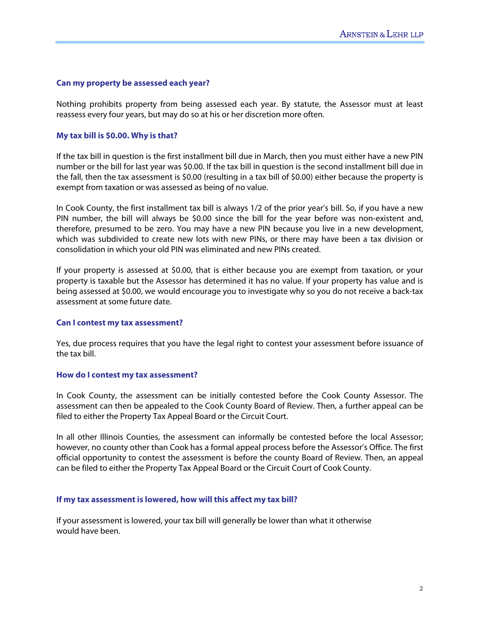# **Can my property be assessed each year?**

Nothing prohibits property from being assessed each year. By statute, the Assessor must at least reassess every four years, but may do so at his or her discretion more often.

# **My tax bill is \$0.00. Why is that?**

If the tax bill in question is the first installment bill due in March, then you must either have a new PIN number or the bill for last year was \$0.00. If the tax bill in question is the second installment bill due in the fall, then the tax assessment is \$0.00 (resulting in a tax bill of \$0.00) either because the property is exempt from taxation or was assessed as being of no value.

In Cook County, the first installment tax bill is always 1/2 of the prior year's bill. So, if you have a new PIN number, the bill will always be \$0.00 since the bill for the year before was non-existent and, therefore, presumed to be zero. You may have a new PIN because you live in a new development, which was subdivided to create new lots with new PINs, or there may have been a tax division or consolidation in which your old PIN was eliminated and new PINs created.

If your property is assessed at \$0.00, that is either because you are exempt from taxation, or your property is taxable but the Assessor has determined it has no value. If your property has value and is being assessed at \$0.00, we would encourage you to investigate why so you do not receive a back-tax assessment at some future date.

# **Can I contest my tax assessment?**

Yes, due process requires that you have the legal right to contest your assessment before issuance of the tax bill.

# **How do I contest my tax assessment?**

In Cook County, the assessment can be initially contested before the Cook County Assessor. The assessment can then be appealed to the Cook County Board of Review. Then, a further appeal can be filed to either the Property Tax Appeal Board or the Circuit Court.

In all other Illinois Counties, the assessment can informally be contested before the local Assessor; however, no county other than Cook has a formal appeal process before the Assessor's Office. The first official opportunity to contest the assessment is before the county Board of Review. Then, an appeal can be filed to either the Property Tax Appeal Board or the Circuit Court of Cook County.

# **If my tax assessment is lowered, how will this affect my tax bill?**

If your assessment is lowered, your tax bill will generally be lower than what it otherwise would have been.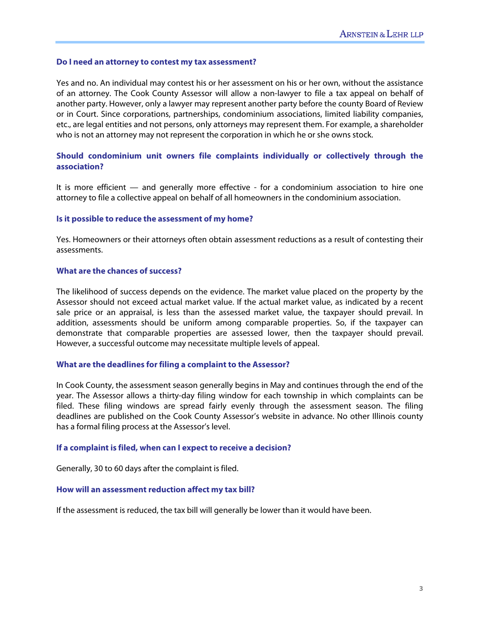#### **Do I need an attorney to contest my tax assessment?**

Yes and no. An individual may contest his or her assessment on his or her own, without the assistance of an attorney. The Cook County Assessor will allow a non-lawyer to file a tax appeal on behalf of another party. However, only a lawyer may represent another party before the county Board of Review or in Court. Since corporations, partnerships, condominium associations, limited liability companies, etc., are legal entities and not persons, only attorneys may represent them. For example, a shareholder who is not an attorney may not represent the corporation in which he or she owns stock.

# **Should condominium unit owners file complaints individually or collectively through the association?**

It is more efficient — and generally more effective - for a condominium association to hire one attorney to file a collective appeal on behalf of all homeowners in the condominium association.

#### **Is it possible to reduce the assessment of my home?**

Yes. Homeowners or their attorneys often obtain assessment reductions as a result of contesting their assessments.

# **What are the chances of success?**

The likelihood of success depends on the evidence. The market value placed on the property by the Assessor should not exceed actual market value. If the actual market value, as indicated by a recent sale price or an appraisal, is less than the assessed market value, the taxpayer should prevail. In addition, assessments should be uniform among comparable properties. So, if the taxpayer can demonstrate that comparable properties are assessed lower, then the taxpayer should prevail. However, a successful outcome may necessitate multiple levels of appeal.

#### **What are the deadlines for filing a complaint to the Assessor?**

In Cook County, the assessment season generally begins in May and continues through the end of the year. The Assessor allows a thirty-day filing window for each township in which complaints can be filed. These filing windows are spread fairly evenly through the assessment season. The filing deadlines are published on the Cook County Assessor's website in advance. No other Illinois county has a formal filing process at the Assessor's level.

#### **If a complaint is filed, when can I expect to receive a decision?**

Generally, 30 to 60 days after the complaint is filed.

# **How will an assessment reduction affect my tax bill?**

If the assessment is reduced, the tax bill will generally be lower than it would have been.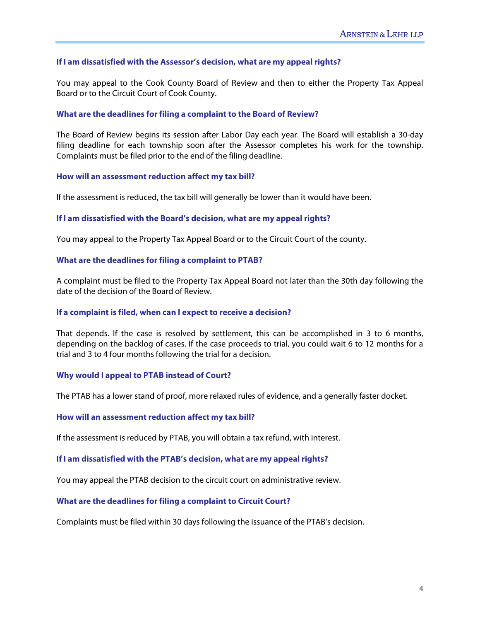# **If I am dissatisfied with the Assessor's decision, what are my appeal rights?**

You may appeal to the Cook County Board of Review and then to either the Property Tax Appeal Board or to the Circuit Court of Cook County.

#### **What are the deadlines for filing a complaint to the Board of Review?**

The Board of Review begins its session after Labor Day each year. The Board will establish a 30-day filing deadline for each township soon after the Assessor completes his work for the township. Complaints must be filed prior to the end of the filing deadline.

#### **How will an assessment reduction affect my tax bill?**

If the assessment is reduced, the tax bill will generally be lower than it would have been.

#### **If I am dissatisfied with the Board's decision, what are my appeal rights?**

You may appeal to the Property Tax Appeal Board or to the Circuit Court of the county.

#### **What are the deadlines for filing a complaint to PTAB?**

A complaint must be filed to the Property Tax Appeal Board not later than the 30th day following the date of the decision of the Board of Review.

# **If a complaint is filed, when can I expect to receive a decision?**

That depends. If the case is resolved by settlement, this can be accomplished in 3 to 6 months, depending on the backlog of cases. If the case proceeds to trial, you could wait 6 to 12 months for a trial and 3 to 4 four months following the trial for a decision.

#### **Why would I appeal to PTAB instead of Court?**

The PTAB has a lower stand of proof, more relaxed rules of evidence, and a generally faster docket.

#### **How will an assessment reduction affect my tax bill?**

If the assessment is reduced by PTAB, you will obtain a tax refund, with interest.

#### **If I am dissatisfied with the PTAB's decision, what are my appeal rights?**

You may appeal the PTAB decision to the circuit court on administrative review.

#### **What are the deadlines for filing a complaint to Circuit Court?**

Complaints must be filed within 30 days following the issuance of the PTAB's decision.